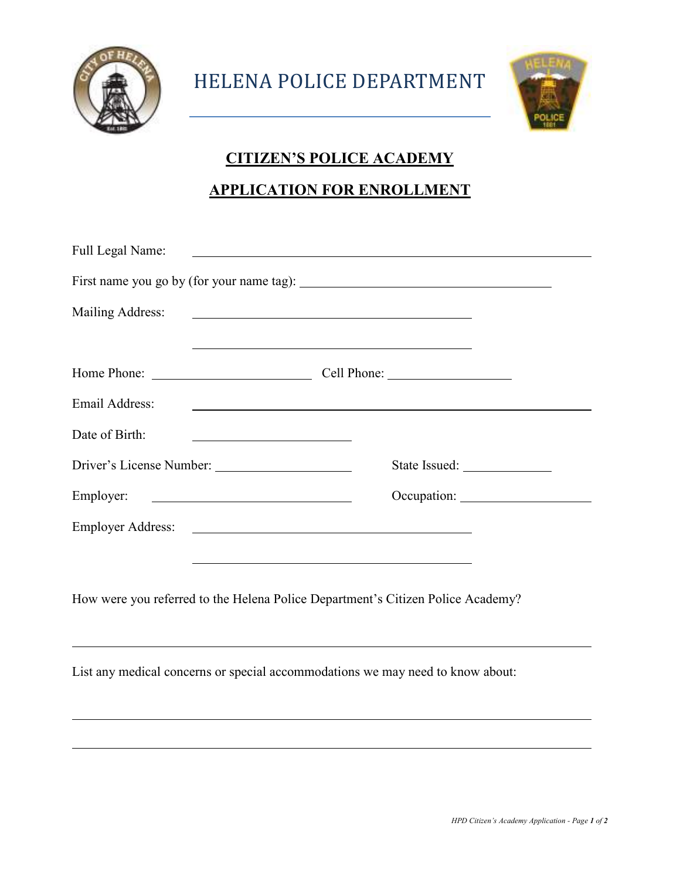

 $\overline{a}$ 

HELENA POLICE DEPARTMENT



## **CITIZEN'S POLICE ACADEMY**

## **APPLICATION FOR ENROLLMENT**

| Full Legal Name:                                                                | <u> 1989 - Johann Stein, mars an de Brazilia (b. 1989)</u> |  |  |  |
|---------------------------------------------------------------------------------|------------------------------------------------------------|--|--|--|
|                                                                                 |                                                            |  |  |  |
| Mailing Address:                                                                |                                                            |  |  |  |
|                                                                                 |                                                            |  |  |  |
|                                                                                 |                                                            |  |  |  |
| Email Address:                                                                  |                                                            |  |  |  |
| Date of Birth:                                                                  |                                                            |  |  |  |
|                                                                                 |                                                            |  |  |  |
|                                                                                 | Employer:                                                  |  |  |  |
|                                                                                 |                                                            |  |  |  |
|                                                                                 |                                                            |  |  |  |
| How were you referred to the Helena Police Department's Citizen Police Academy? |                                                            |  |  |  |
| List any medical concerns or special accommodations we may need to know about:  |                                                            |  |  |  |